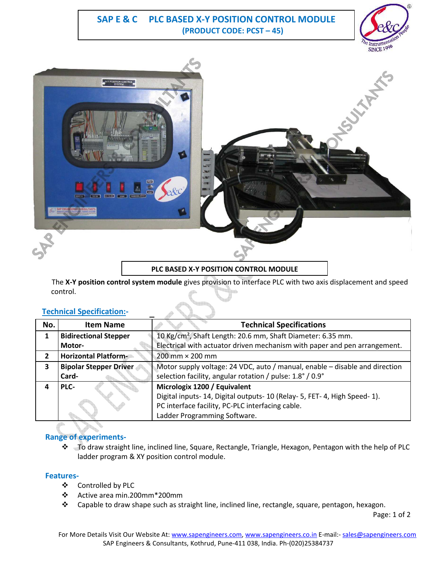# **SAP E & C PLC BASED X-Y POSITION CONTROL MODULE (PRODUCT CODE: PCST – 45)**





**PLC BASED X-Y POSITION CONTROL MODULE**

 The **X-Y position control system module** gives provision to interface PLC with two axis displacement and speed control.

| <b>Technical Specification:-</b> |  |  |  |  |  |  |  |  |  |  |  |  |
|----------------------------------|--|--|--|--|--|--|--|--|--|--|--|--|
|----------------------------------|--|--|--|--|--|--|--|--|--|--|--|--|

| No. | <b>Item Name</b>                                                                    | <b>Technical Specifications</b>                                             |
|-----|-------------------------------------------------------------------------------------|-----------------------------------------------------------------------------|
|     | 10 Kg/cm <sup>2</sup> , Shaft Length: 20.6 mm, Shaft Diameter: 6.35 mm.             |                                                                             |
|     | Electrical with actuator driven mechanism with paper and pen arrangement.<br>Motor- |                                                                             |
|     | <b>Horizontal Platform-</b>                                                         | 200 mm × 200 mm                                                             |
|     | <b>Bipolar Stepper Driver</b>                                                       | Motor supply voltage: 24 VDC, auto / manual, enable – disable and direction |
|     | Card-                                                                               | selection facility, angular rotation / pulse: 1.8° / 0.9°                   |
|     | PLC-                                                                                | Micrologix 1200 / Equivalent                                                |
|     |                                                                                     | Digital inputs-14, Digital outputs-10 (Relay-5, FET-4, High Speed-1).       |
|     |                                                                                     | PC interface facility, PC-PLC interfacing cable.                            |
|     |                                                                                     | Ladder Programming Software.                                                |

## **Range of experiments-**

\* To draw straight line, inclined line, Square, Rectangle, Triangle, Hexagon, Pentagon with the help of PLC ladder program & XY position control module.

### **Features-**

- Controlled by PLC
- Active area min.200mm\*200mm
- Capable to draw shape such as straight line, inclined line, rectangle, square, pentagon, hexagon.

Page: 1 of 2